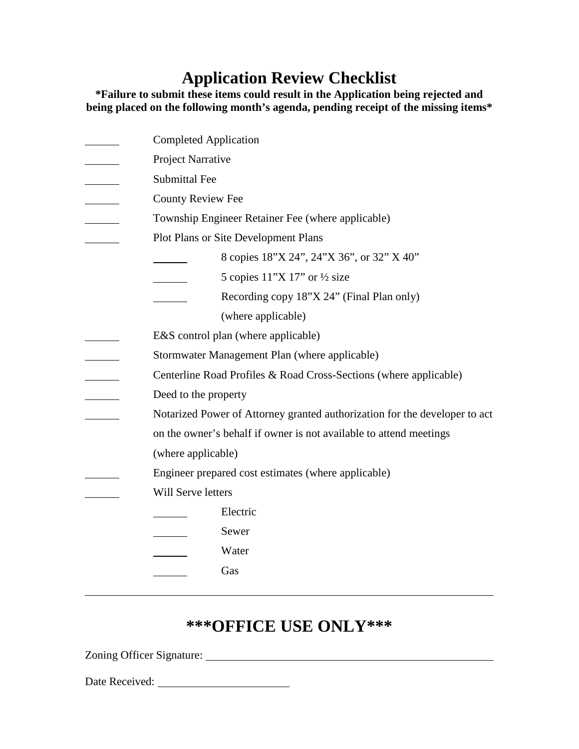## **Application Review Checklist**

**\*Failure to submit these items could result in the Application being rejected and being placed on the following month's agenda, pending receipt of the missing items\*** 

| <b>Completed Application</b>                                               |
|----------------------------------------------------------------------------|
| Project Narrative                                                          |
| <b>Submittal Fee</b>                                                       |
| <b>County Review Fee</b>                                                   |
| Township Engineer Retainer Fee (where applicable)                          |
| Plot Plans or Site Development Plans                                       |
| 8 copies 18"X 24", 24"X 36", or 32" X 40"                                  |
| 5 copies $11^{\prime\prime}$ X 17" or $\frac{1}{2}$ size                   |
| Recording copy 18"X 24" (Final Plan only)                                  |
| (where applicable)                                                         |
| E&S control plan (where applicable)                                        |
| Stormwater Management Plan (where applicable)                              |
| Centerline Road Profiles & Road Cross-Sections (where applicable)          |
| Deed to the property                                                       |
| Notarized Power of Attorney granted authorization for the developer to act |
| on the owner's behalf if owner is not available to attend meetings         |
| (where applicable)                                                         |
| Engineer prepared cost estimates (where applicable)                        |
| Will Serve letters                                                         |
| Electric                                                                   |
| Sewer                                                                      |
| Water                                                                      |
| Gas                                                                        |
|                                                                            |

## **\*\*\*OFFICE USE ONLY\*\*\***

Zoning Officer Signature:

Date Received: